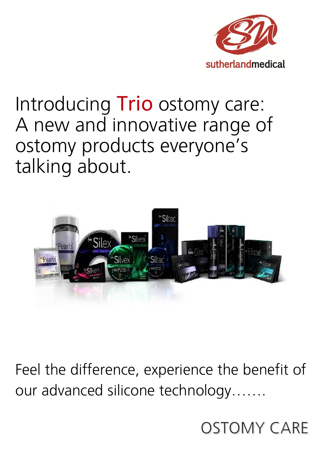

## Introducing **Trio** ostomy care: A new and innovative range of ostomy products everyone's talking about.



Feel the difference, experience the benefit of our advanced silicone technology.......

**OSTOMY CARE**